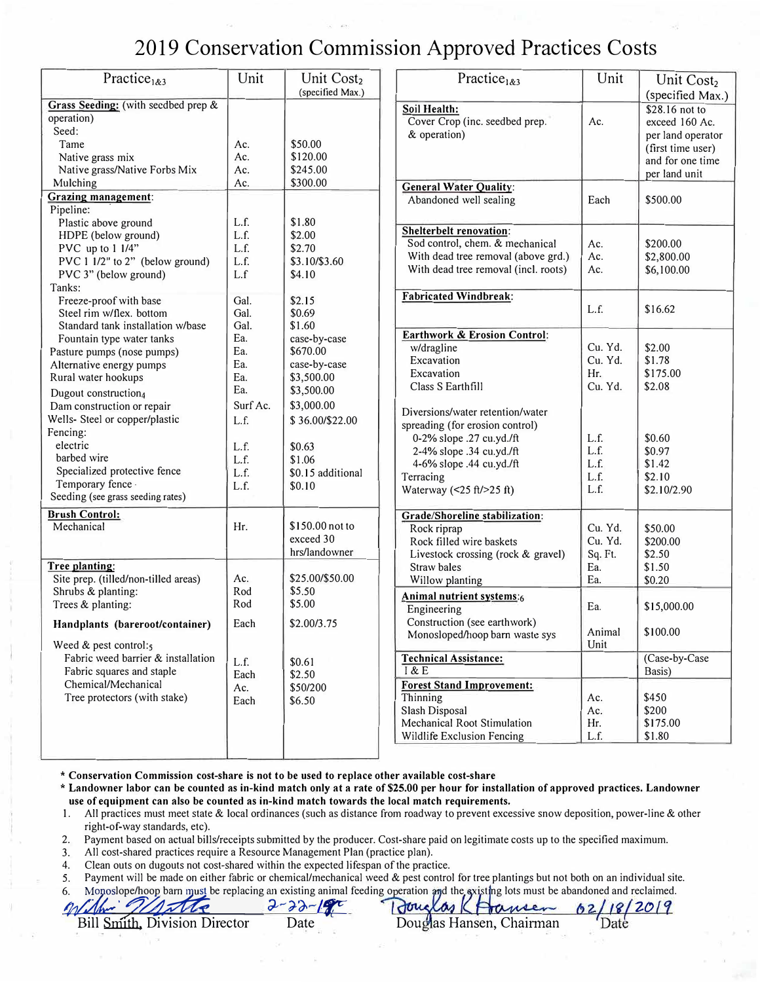## 2019 Conservation Commission Approved Practices Costs

| Practice <sub>1&amp;3</sub>                                                                                                                                                                                     | Unit                                 | Unit Cost <sub>2</sub><br>(specified Max.)                                         | Practice <sub>1&amp;3</sub>                                                                                                                                                                                                | Unit                                 | Unit Cost <sub>2</sub><br>(specified Max.)                                                                      |
|-----------------------------------------------------------------------------------------------------------------------------------------------------------------------------------------------------------------|--------------------------------------|------------------------------------------------------------------------------------|----------------------------------------------------------------------------------------------------------------------------------------------------------------------------------------------------------------------------|--------------------------------------|-----------------------------------------------------------------------------------------------------------------|
| Grass Seeding: (with seedbed prep &<br>operation)<br>Seed:<br>Tame<br>Native grass mix<br>Native grass/Native Forbs Mix                                                                                         | Ac.<br>Ac.<br>Ac.                    | \$50.00<br>\$120.00<br>\$245.00                                                    | Soil Health:<br>Cover Crop (inc. seedbed prep.<br>& operation)                                                                                                                                                             | Ac.                                  | \$28.16 not to<br>exceed 160 Ac.<br>per land operator<br>(first time user)<br>and for one time<br>per land unit |
| Mulching<br><b>Grazing management:</b><br>Pipeline:                                                                                                                                                             | Ac.                                  | \$300.00                                                                           | <b>General Water Quality:</b><br>Abandoned well sealing                                                                                                                                                                    | Each                                 | \$500.00                                                                                                        |
| Plastic above ground<br>HDPE (below ground)<br>PVC up to 1 1/4"<br>PVC 1 1/2" to 2" (below ground)<br>PVC 3" (below ground)<br>Tanks:                                                                           | L.f.<br>L.f.<br>L.f.<br>L.f.<br>L.f  | \$1.80<br>\$2.00<br>\$2.70<br>\$3.10/\$3.60<br>\$4.10                              | <b>Shelterbelt renovation:</b><br>Sod control, chem. & mechanical<br>With dead tree removal (above grd.)<br>With dead tree removal (incl. roots)                                                                           | Ac.<br>Ac.<br>Ac.                    | \$200.00<br>\$2,800.00<br>\$6,100.00                                                                            |
| Freeze-proof with base<br>Steel rim w/flex. bottom<br>Standard tank installation w/base                                                                                                                         | Gal.<br>Gal.<br>Gal.                 | \$2.15<br>\$0.69<br>\$1.60                                                         | <b>Fabricated Windbreak:</b>                                                                                                                                                                                               | L.f.                                 | \$16.62                                                                                                         |
| Ea.<br>Fountain type water tanks<br>Ea.<br>Pasture pumps (nose pumps)<br>Ea.<br>Alternative energy pumps<br>Ea.<br>Rural water hookups<br>Ea.<br>Dugout construction <sub>4</sub><br>Dam construction or repair | Surf Ac.                             | case-by-case<br>\$670.00<br>case-by-case<br>\$3,500.00<br>\$3,500.00<br>\$3,000.00 | <b>Earthwork &amp; Erosion Control:</b><br>w/dragline<br>Excavation<br>Excavation<br>Class S Earthfill                                                                                                                     | Cu. Yd.<br>Cu. Yd.<br>Hr.<br>Cu. Yd. | \$2.00<br>\$1.78<br>\$175.00<br>\$2.08                                                                          |
| Wells- Steel or copper/plastic<br>Fencing:<br>electric<br>barbed wire<br>Specialized protective fence<br>Temporary fence -<br>Seeding (see grass seeding rates)                                                 | L.f.<br>L.f.<br>L.f.<br>L.f.<br>L.f. | \$36.00/\$22.00<br>\$0.63<br>\$1.06<br>\$0.15 additional<br>\$0.10                 | Diversions/water retention/water<br>spreading (for erosion control)<br>0-2% slope .27 cu.yd./ft<br>2-4% slope .34 cu.yd./ft<br>4-6% slope .44 cu.yd./ft<br>Terracing<br>Waterway $(\leq 25 \text{ ft}/\geq 25 \text{ ft})$ | L.f.<br>L.f.<br>L.f.<br>L.f.<br>L.f. | \$0.60<br>\$0.97<br>\$1.42<br>\$2.10<br>\$2.10/2.90                                                             |
| <b>Brush Control:</b><br>Mechanical                                                                                                                                                                             | Hr.                                  | \$150.00 not to<br>exceed 30<br>hrs/landowner                                      | Grade/Shoreline stabilization:<br>Rock riprap<br>Rock filled wire baskets<br>Livestock crossing (rock & gravel)                                                                                                            | Cu. Yd.<br>Cu. Yd.<br>Sq. Ft.        | \$50.00<br>\$200.00<br>\$2.50                                                                                   |
| Tree planting:<br>Site prep. (tilled/non-tilled areas)<br>Shrubs & planting:                                                                                                                                    | Ac.<br>Rod                           | \$25.00/\$50.00<br>\$5.50                                                          | Straw bales<br>Willow planting<br>Animal nutrient systems:6                                                                                                                                                                | Ea.<br>Ea.                           | \$1.50<br>\$0.20                                                                                                |
| Trees & planting:<br>Handplants (bareroot/container)                                                                                                                                                            | Rod<br>Each                          | \$5.00<br>\$2.00/3.75                                                              | Engineering<br>Construction (see earthwork)<br>Monosloped/hoop barn waste sys                                                                                                                                              | Ea.<br>Animal<br>Unit                | \$15,000.00<br>\$100.00                                                                                         |
| Weed $&$ pest control: <sub>5</sub><br>Fabric weed barrier & installation<br>Fabric squares and staple<br>Chemical/Mechanical<br>Tree protectors (with stake)                                                   | L.f.<br>Each<br>Ac.<br>Each          | \$0.61<br>\$2.50<br>\$50/200<br>\$6.50                                             | <b>Technical Assistance:</b><br>1 & E<br><b>Forest Stand Improvement:</b><br>Thinning<br>Slash Disposal<br>Mechanical Root Stimulation<br>Wildlife Exclusion Fencing                                                       | Ac.<br>Ac.<br>Hr.<br>L.f.            | (Case-by-Case<br>Basis)<br>\$450<br>\$200<br>\$175.00<br>\$1.80                                                 |

\* **Conservation Commission cost-share is not to be used to replace other available cost-share**

**\* Landowner labor can be counted as in-kind match only at a rate of\$25.00 per hour for installation of approved practices. Landowner use of equipment can also be counted as in-kind match towards the local match requirements.** 

I. All practices must meet state & local ordinances (such as distance from roadway to prevent excessive snow deposition, power-line & other right-of-way standards, etc).

2.Payment based on actual bills/receipts submitted by the producer. Cost-share paid on legitimate costs up to the specified maximum.

3. All cost-shared practices require a Resource Management Plan (practice plan).

4.Clean outs on dugouts not cost-shared within the expected lifespan of the practice.

5. Payment will be made on either fabric or chemical/mechanical weed & pest control for tree plantings but not both on an individual site.

Bill Smith, Division Director Date Douglas Hansen, Chairman

6. Monoslope/hoop barn must be replacing an existing animal feeding operation and the existing lots must be abandoned and reclaimed.<br>*ff// Jhr 7/1/ Me* 2019